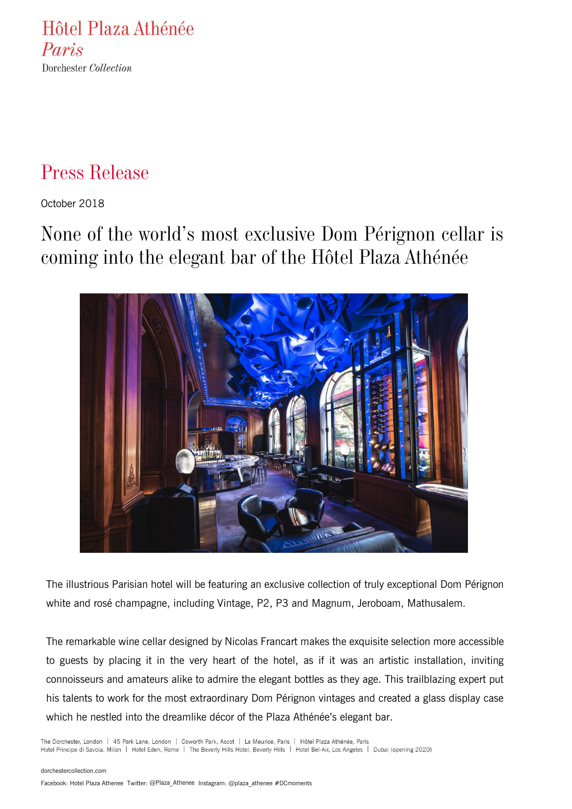Hôtel Plaza Athénée Paris Dorchester Collection

# Press Release

October 2018

None of the world's most exclusive Dom Pérignon cellar is coming into the elegant bar of the Hôtel Plaza Athénée



The illustrious Parisian hotel will be featuring an exclusive collection of truly exceptional Dom Pérignon white and rosé champagne, including Vintage, P2, P3 and Magnum, Jeroboam, Mathusalem.

The remarkable wine cellar designed by Nicolas Francart makes the exquisite selection more accessible to guests by placing it in the very heart of the hotel, as if it was an artistic installation, inviting connoisseurs and amateurs alike to admire the elegant bottles as they age. This trailblazing expert put his talents to work for the most extraordinary Dom Pérignon vintages and created a glass display case which he nestled into the dreamlike décor of the Plaza Athénée's elegant bar.

The Dorchester, London | 45 Park Lane, London | Coworth Park, Ascot | Le Meurice, Paris | Hôtel Plaza Athénée, Paris Hotel Principe di Savoia, Milan | Hotel Eden, Rome | The Beverly Hills Hotel, Beverly Hills | Hotel Bel-Air, Los Angeles | Dubai (opening 2020)

#### [dorchestercollection.com](http://www.dorchestercollection.com/)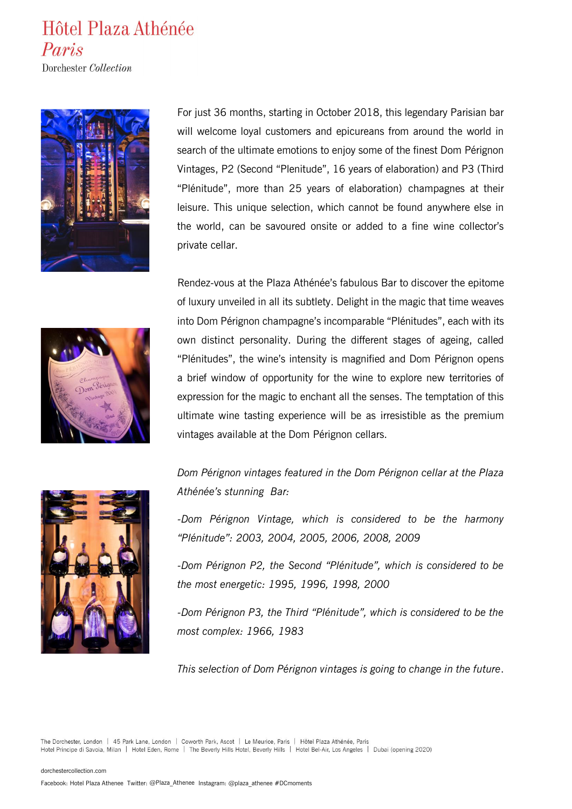### Hôtel Plaza Athénée Paris

Dorchester Collection



For just 36 months, starting in October 2018, this legendary Parisian bar will welcome loyal customers and epicureans from around the world in search of the ultimate emotions to enjoy some of the finest Dom Pérignon Vintages, P2 (Second "Plenitude", 16 years of elaboration) and P3 (Third "Plénitude", more than 25 years of elaboration) champagnes at their leisure. This unique selection, which cannot be found anywhere else in the world, can be savoured onsite or added to a fine wine collector's private cellar.

Rendez-vous at the Plaza Athénée's fabulous Bar to discover the epitome of luxury unveiled in all its subtlety. Delight in the magic that time weaves into Dom Pérignon champagne's incomparable "Plénitudes", each with its own distinct personality. During the different stages of ageing, called "Plénitudes", the wine's intensity is magnified and Dom Pérignon opens a brief window of opportunity for the wine to explore new territories of expression for the magic to enchant all the senses. The temptation of this ultimate wine tasting experience will be as irresistible as the premium vintages available at the Dom Pérignon cellars.



*Dom Pérignon vintages featured in the Dom Pérignon cellar at the Plaza Athénée's stunning Bar:* 

*-Dom Pérignon Vintage, which is considered to be the harmony "Plénitude": 2003, 2004, 2005, 2006, 2008, 2009* 

*-Dom Pérignon P2, the Second "Plénitude", which is considered to be the most energetic: 1995, 1996, 1998, 2000*

*-Dom Pérignon P3, the Third "Plénitude", which is considered to be the most complex: 1966, 1983* 

*This selection of Dom Pérignon vintages is going to change in the future*.

The Dorchester, London | 45 Park Lane, London | Coworth Park, Ascot | Le Meurice, Paris | Hôtel Plaza Athénée, Paris Hotel Principe di Savoia, Milan | Hotel Eden, Rome | The Beverly Hills Hotel, Beverly Hills | Hotel Bel-Air, Los Angeles | Dubai (opening 2020)